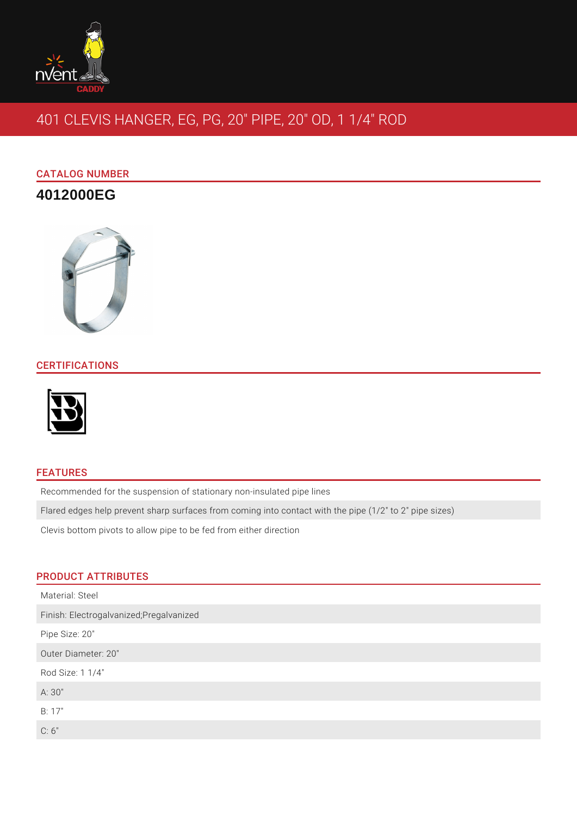

# 401 CLEVIS HANGER, EG, PG, 20" PIPE, 20" OD, 1 1/4" ROD

# CATALOG NUMBER

# **4012000EG**



## **CERTIFICATIONS**



### FEATURES

Recommended for the suspension of stationary non-insulated pipe lines

Flared edges help prevent sharp surfaces from coming into contact with the pipe (1/2" to 2" pipe sizes)

Clevis bottom pivots to allow pipe to be fed from either direction

#### PRODUCT ATTRIBUTES

| Material: Steel                          |
|------------------------------------------|
| Finish: Electrogalvanized; Pregalvanized |
| Pipe Size: 20"                           |
| Outer Diameter: 20"                      |
| Rod Size: 1 1/4"                         |
| A:30"                                    |
| B: 17"                                   |
| C: 6"                                    |